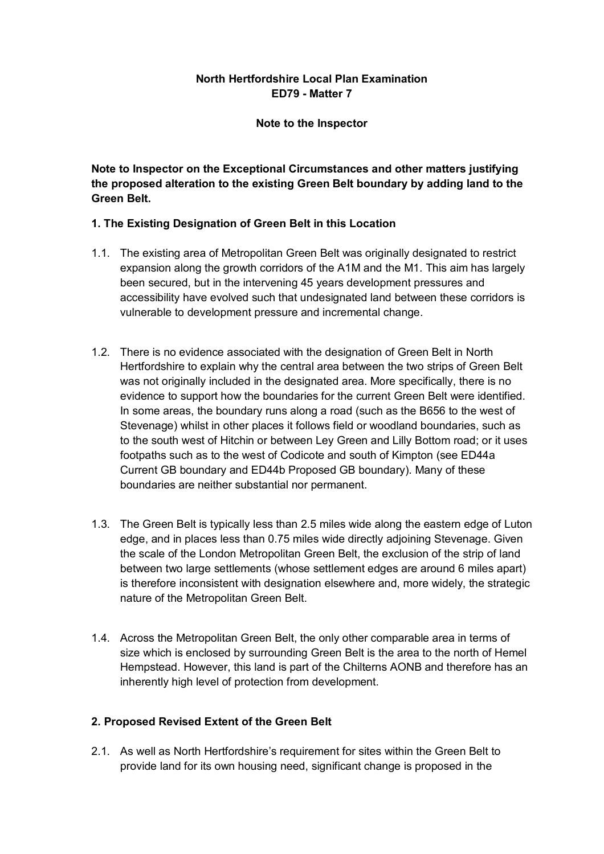# **North Hertfordshire Local Plan Examination ED79 - Matter 7**

### **Note to the Inspector**

**Note to Inspector on the Exceptional Circumstances and other matters justifying the proposed alteration to the existing Green Belt boundary by adding land to the Green Belt.** 

## **1. The Existing Designation of Green Belt in this Location**

- 1.1. The existing area of Metropolitan Green Belt was originally designated to restrict expansion along the growth corridors of the A1M and the M1. This aim has largely been secured, but in the intervening 45 years development pressures and accessibility have evolved such that undesignated land between these corridors is vulnerable to development pressure and incremental change.
- 1.2. There is no evidence associated with the designation of Green Belt in North Hertfordshire to explain why the central area between the two strips of Green Belt was not originally included in the designated area. More specifically, there is no evidence to support how the boundaries for the current Green Belt were identified. In some areas, the boundary runs along a road (such as the B656 to the west of Stevenage) whilst in other places it follows field or woodland boundaries, such as to the south west of Hitchin or between Ley Green and Lilly Bottom road; or it uses footpaths such as to the west of Codicote and south of Kimpton (see ED44a Current GB boundary and ED44b Proposed GB boundary). Many of these boundaries are neither substantial nor permanent.
- 1.3. The Green Belt is typically less than 2.5 miles wide along the eastern edge of Luton edge, and in places less than 0.75 miles wide directly adjoining Stevenage. Given the scale of the London Metropolitan Green Belt, the exclusion of the strip of land between two large settlements (whose settlement edges are around 6 miles apart) is therefore inconsistent with designation elsewhere and, more widely, the strategic nature of the Metropolitan Green Belt.
- 1.4. Across the Metropolitan Green Belt, the only other comparable area in terms of size which is enclosed by surrounding Green Belt is the area to the north of Hemel Hempstead. However, this land is part of the Chilterns AONB and therefore has an inherently high level of protection from development.

## **2. Proposed Revised Extent of the Green Belt**

2.1. As well as North Hertfordshire's requirement for sites within the Green Belt to provide land for its own housing need, significant change is proposed in the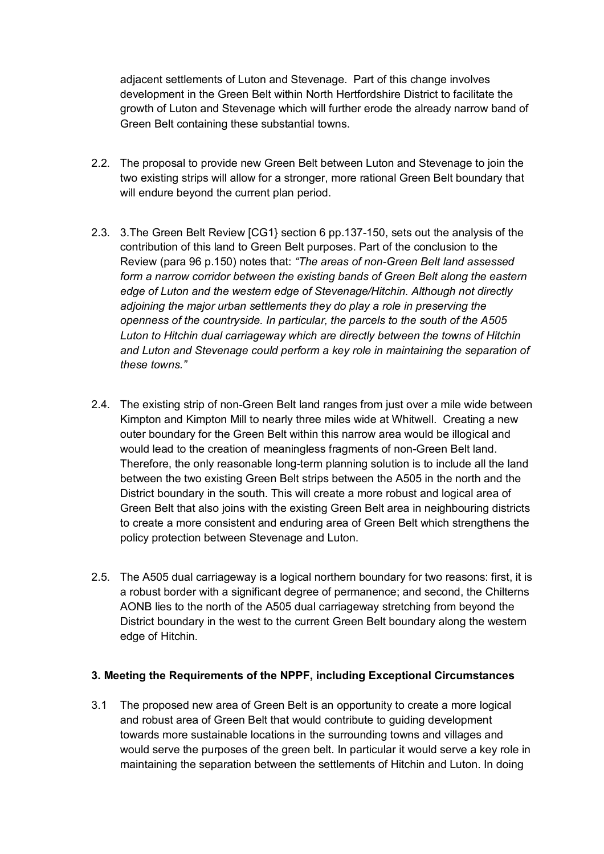adjacent settlements of Luton and Stevenage. Part of this change involves development in the Green Belt within North Hertfordshire District to facilitate the growth of Luton and Stevenage which will further erode the already narrow band of Green Belt containing these substantial towns.

- 2.2. The proposal to provide new Green Belt between Luton and Stevenage to join the two existing strips will allow for a stronger, more rational Green Belt boundary that will endure beyond the current plan period.
- 2.3. 3.The Green Belt Review [CG1} section 6 pp.137-150, sets out the analysis of the contribution of this land to Green Belt purposes. Part of the conclusion to the Review (para 96 p.150) notes that: *"The areas of non-Green Belt land assessed form a narrow corridor between the existing bands of Green Belt along the eastern edge of Luton and the western edge of Stevenage/Hitchin. Although not directly adjoining the major urban settlements they do play a role in preserving the openness of the countryside. In particular, the parcels to the south of the A505 Luton to Hitchin dual carriageway which are directly between the towns of Hitchin and Luton and Stevenage could perform a key role in maintaining the separation of these towns."*
- 2.4. The existing strip of non-Green Belt land ranges from just over a mile wide between Kimpton and Kimpton Mill to nearly three miles wide at Whitwell. Creating a new outer boundary for the Green Belt within this narrow area would be illogical and would lead to the creation of meaningless fragments of non-Green Belt land. Therefore, the only reasonable long-term planning solution is to include all the land between the two existing Green Belt strips between the A505 in the north and the District boundary in the south. This will create a more robust and logical area of Green Belt that also joins with the existing Green Belt area in neighbouring districts to create a more consistent and enduring area of Green Belt which strengthens the policy protection between Stevenage and Luton.
- 2.5. The A505 dual carriageway is a logical northern boundary for two reasons: first, it is a robust border with a significant degree of permanence; and second, the Chilterns AONB lies to the north of the A505 dual carriageway stretching from beyond the District boundary in the west to the current Green Belt boundary along the western edge of Hitchin.

### **3. Meeting the Requirements of the NPPF, including Exceptional Circumstances**

3.1 The proposed new area of Green Belt is an opportunity to create a more logical and robust area of Green Belt that would contribute to guiding development towards more sustainable locations in the surrounding towns and villages and would serve the purposes of the green belt. In particular it would serve a key role in maintaining the separation between the settlements of Hitchin and Luton. In doing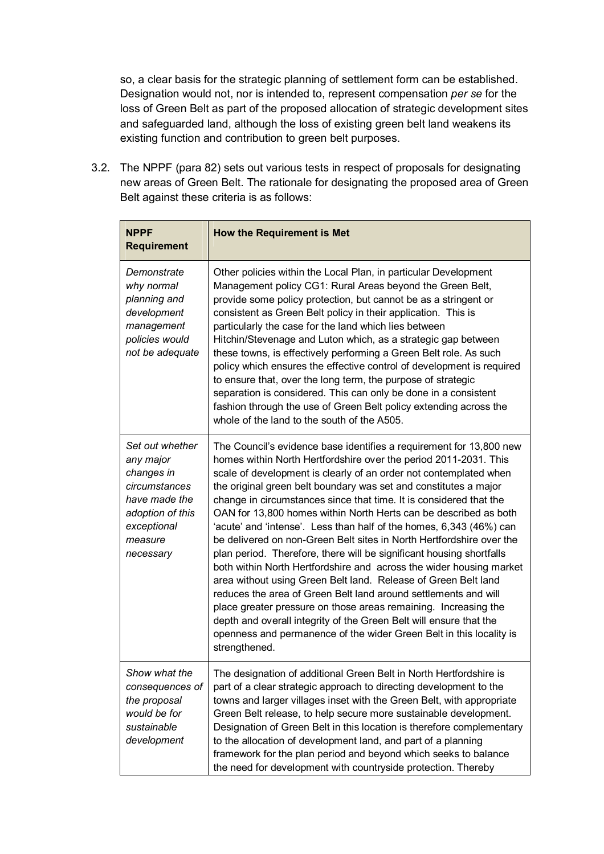so, a clear basis for the strategic planning of settlement form can be established. Designation would not, nor is intended to, represent compensation *per se* for the loss of Green Belt as part of the proposed allocation of strategic development sites and safeguarded land, although the loss of existing green belt land weakens its existing function and contribution to green belt purposes.

3.2. The NPPF (para 82) sets out various tests in respect of proposals for designating new areas of Green Belt. The rationale for designating the proposed area of Green Belt against these criteria is as follows:

| <b>NPPF</b><br><b>Requirement</b>                                                                                                       | <b>How the Requirement is Met</b>                                                                                                                                                                                                                                                                                                                                                                                                                                                                                                                                                                                                                                                                                                                                                                                                                                                                                                                                                                                                                                                              |
|-----------------------------------------------------------------------------------------------------------------------------------------|------------------------------------------------------------------------------------------------------------------------------------------------------------------------------------------------------------------------------------------------------------------------------------------------------------------------------------------------------------------------------------------------------------------------------------------------------------------------------------------------------------------------------------------------------------------------------------------------------------------------------------------------------------------------------------------------------------------------------------------------------------------------------------------------------------------------------------------------------------------------------------------------------------------------------------------------------------------------------------------------------------------------------------------------------------------------------------------------|
| Demonstrate<br>why normal<br>planning and<br>development<br>management<br>policies would<br>not be adequate                             | Other policies within the Local Plan, in particular Development<br>Management policy CG1: Rural Areas beyond the Green Belt,<br>provide some policy protection, but cannot be as a stringent or<br>consistent as Green Belt policy in their application. This is<br>particularly the case for the land which lies between<br>Hitchin/Stevenage and Luton which, as a strategic gap between<br>these towns, is effectively performing a Green Belt role. As such<br>policy which ensures the effective control of development is required<br>to ensure that, over the long term, the purpose of strategic<br>separation is considered. This can only be done in a consistent<br>fashion through the use of Green Belt policy extending across the<br>whole of the land to the south of the A505.                                                                                                                                                                                                                                                                                                |
| Set out whether<br>any major<br>changes in<br>circumstances<br>have made the<br>adoption of this<br>exceptional<br>measure<br>necessary | The Council's evidence base identifies a requirement for 13,800 new<br>homes within North Hertfordshire over the period 2011-2031. This<br>scale of development is clearly of an order not contemplated when<br>the original green belt boundary was set and constitutes a major<br>change in circumstances since that time. It is considered that the<br>OAN for 13,800 homes within North Herts can be described as both<br>'acute' and 'intense'. Less than half of the homes, 6,343 (46%) can<br>be delivered on non-Green Belt sites in North Hertfordshire over the<br>plan period. Therefore, there will be significant housing shortfalls<br>both within North Hertfordshire and across the wider housing market<br>area without using Green Belt land. Release of Green Belt land<br>reduces the area of Green Belt land around settlements and will<br>place greater pressure on those areas remaining. Increasing the<br>depth and overall integrity of the Green Belt will ensure that the<br>openness and permanence of the wider Green Belt in this locality is<br>strengthened. |
| Show what the<br>consequences of<br>the proposal<br>would be for<br>sustainable<br>development                                          | The designation of additional Green Belt in North Hertfordshire is<br>part of a clear strategic approach to directing development to the<br>towns and larger villages inset with the Green Belt, with appropriate<br>Green Belt release, to help secure more sustainable development.<br>Designation of Green Belt in this location is therefore complementary<br>to the allocation of development land, and part of a planning<br>framework for the plan period and beyond which seeks to balance<br>the need for development with countryside protection. Thereby                                                                                                                                                                                                                                                                                                                                                                                                                                                                                                                            |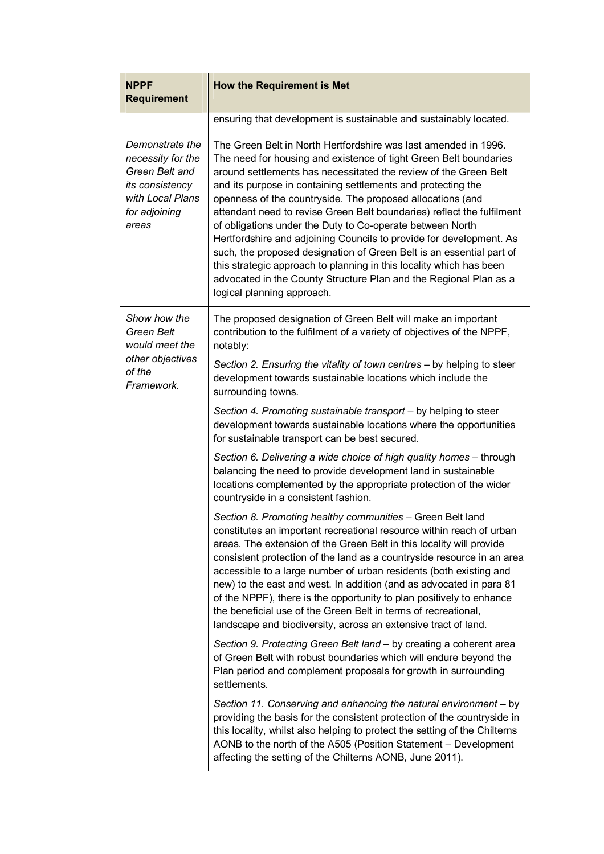| <b>NPPF</b><br><b>Requirement</b>                                                                                       | <b>How the Requirement is Met</b>                                                                                                                                                                                                                                                                                                                                                                                                                                                                                                                                                                                                                                                                                                                                                                      |
|-------------------------------------------------------------------------------------------------------------------------|--------------------------------------------------------------------------------------------------------------------------------------------------------------------------------------------------------------------------------------------------------------------------------------------------------------------------------------------------------------------------------------------------------------------------------------------------------------------------------------------------------------------------------------------------------------------------------------------------------------------------------------------------------------------------------------------------------------------------------------------------------------------------------------------------------|
|                                                                                                                         | ensuring that development is sustainable and sustainably located.                                                                                                                                                                                                                                                                                                                                                                                                                                                                                                                                                                                                                                                                                                                                      |
| Demonstrate the<br>necessity for the<br>Green Belt and<br>its consistency<br>with Local Plans<br>for adjoining<br>areas | The Green Belt in North Hertfordshire was last amended in 1996.<br>The need for housing and existence of tight Green Belt boundaries<br>around settlements has necessitated the review of the Green Belt<br>and its purpose in containing settlements and protecting the<br>openness of the countryside. The proposed allocations (and<br>attendant need to revise Green Belt boundaries) reflect the fulfilment<br>of obligations under the Duty to Co-operate between North<br>Hertfordshire and adjoining Councils to provide for development. As<br>such, the proposed designation of Green Belt is an essential part of<br>this strategic approach to planning in this locality which has been<br>advocated in the County Structure Plan and the Regional Plan as a<br>logical planning approach. |
| Show how the<br><b>Green Belt</b><br>would meet the<br>other objectives<br>of the<br>Framework.                         | The proposed designation of Green Belt will make an important<br>contribution to the fulfilment of a variety of objectives of the NPPF,<br>notably:                                                                                                                                                                                                                                                                                                                                                                                                                                                                                                                                                                                                                                                    |
|                                                                                                                         | Section 2. Ensuring the vitality of town centres - by helping to steer<br>development towards sustainable locations which include the<br>surrounding towns.                                                                                                                                                                                                                                                                                                                                                                                                                                                                                                                                                                                                                                            |
|                                                                                                                         | Section 4. Promoting sustainable transport - by helping to steer<br>development towards sustainable locations where the opportunities<br>for sustainable transport can be best secured.                                                                                                                                                                                                                                                                                                                                                                                                                                                                                                                                                                                                                |
|                                                                                                                         | Section 6. Delivering a wide choice of high quality homes - through<br>balancing the need to provide development land in sustainable<br>locations complemented by the appropriate protection of the wider<br>countryside in a consistent fashion.                                                                                                                                                                                                                                                                                                                                                                                                                                                                                                                                                      |
|                                                                                                                         | Section 8. Promoting healthy communities - Green Belt land<br>constitutes an important recreational resource within reach of urban<br>areas. The extension of the Green Belt in this locality will provide<br>consistent protection of the land as a countryside resource in an area<br>accessible to a large number of urban residents (both existing and<br>new) to the east and west. In addition (and as advocated in para 81<br>of the NPPF), there is the opportunity to plan positively to enhance<br>the beneficial use of the Green Belt in terms of recreational,<br>landscape and biodiversity, across an extensive tract of land.                                                                                                                                                          |
|                                                                                                                         | Section 9. Protecting Green Belt land - by creating a coherent area<br>of Green Belt with robust boundaries which will endure beyond the<br>Plan period and complement proposals for growth in surrounding<br>settlements.                                                                                                                                                                                                                                                                                                                                                                                                                                                                                                                                                                             |
|                                                                                                                         | Section 11. Conserving and enhancing the natural environment - by<br>providing the basis for the consistent protection of the countryside in<br>this locality, whilst also helping to protect the setting of the Chilterns<br>AONB to the north of the A505 (Position Statement - Development<br>affecting the setting of the Chilterns AONB, June 2011).                                                                                                                                                                                                                                                                                                                                                                                                                                              |